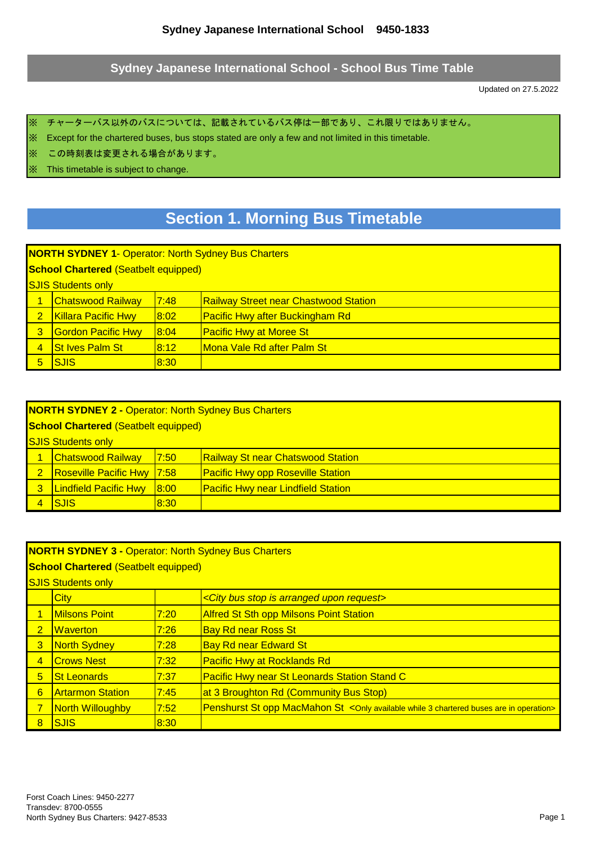#### **Sydney Japanese International School - School Bus Time Table**

Updated on 27.5.2022

※ チャーターバス以外のバスについては、記載されているバス停は一部であり、これ限りではありません。

※ Except for the chartered buses, bus stops stated are only a few and not limited in this timetable.

※ この時刻表は変更される場合があります。

※ This timetable is subject to change.

# **Section 1. Morning Bus Timetable**

**NORTH SYDNEY 1**- Operator: North Sydney Bus Charters

**School Chartered** (Seatbelt equipped)

**SJIS Students only** 

| <u>ISJIS Students only</u> |                |                                              |  |
|----------------------------|----------------|----------------------------------------------|--|
| <b>Chatswood Railway</b>   | 17:48          | <b>Railway Street near Chastwood Station</b> |  |
| 2   Killara Pacific Hwy    | <u> 8:02  </u> | <b>Pacific Hwy after Buckingham Rd</b>       |  |
| <b>Gordon Pacific Hwy</b>  | <b>8:04</b>    | <b>Pacific Hwy at Moree St</b>               |  |
| <b>St Ives Palm St</b>     | 8:12           | <u>IMona Vale Rd after Palm St</u>           |  |
| <b>ISJIS</b>               | 8:30           |                                              |  |

|                | <b>NORTH SYDNEY 2 - Operator: North Sydney Bus Charters</b> |      |                                           |  |  |  |
|----------------|-------------------------------------------------------------|------|-------------------------------------------|--|--|--|
|                | <b>School Chartered (Seatbelt equipped)</b>                 |      |                                           |  |  |  |
|                | <b>SJIS Students only</b>                                   |      |                                           |  |  |  |
|                | <b>Chatswood Railway</b>                                    | 7:50 | <b>Railway St near Chatswood Station</b>  |  |  |  |
| $\overline{2}$ | <b>Roseville Pacific Hwy 7:58</b>                           |      | <b>Pacific Hwy opp Roseville Station</b>  |  |  |  |
| 3              | <b>Lindfield Pacific Hwy</b>                                | 8:00 | <b>Pacific Hwy near Lindfield Station</b> |  |  |  |
|                | ISJIS                                                       | 8:30 |                                           |  |  |  |

|                 | <b>NORTH SYDNEY 3 - Operator: North Sydney Bus Charters</b><br><b>School Chartered (Seatbelt equipped)</b> |      |                                                                                         |  |  |
|-----------------|------------------------------------------------------------------------------------------------------------|------|-----------------------------------------------------------------------------------------|--|--|
|                 | <b>SJIS Students only</b>                                                                                  |      |                                                                                         |  |  |
|                 | City<br><city arranged="" bus="" is="" request="" stop="" upon=""></city>                                  |      |                                                                                         |  |  |
|                 | <b>Milsons Point</b>                                                                                       | 7:20 | <b>Alfred St Sth opp Milsons Point Station</b>                                          |  |  |
| $\overline{2}$  | <b>Waverton</b>                                                                                            | 7:26 | <b>Bay Rd near Ross St</b>                                                              |  |  |
| 3               | <b>North Sydney</b>                                                                                        | 7:28 | <b>Bay Rd near Edward St</b>                                                            |  |  |
| $\overline{4}$  | <b>Crows Nest</b>                                                                                          | 7:32 | <b>Pacific Hwy at Rocklands Rd</b>                                                      |  |  |
| $5\overline{)}$ | <b>St Leonards</b>                                                                                         | 7:37 | Pacific Hwy near St Leonards Station Stand C                                            |  |  |
| $6\phantom{1}$  | <b>Artarmon Station</b>                                                                                    | 7:45 | at 3 Broughton Rd (Community Bus Stop)                                                  |  |  |
| $\overline{7}$  | North Willoughby                                                                                           | 7:52 | Penshurst St opp MacMahon St < Only available while 3 chartered buses are in operation> |  |  |
| 8               | <b>SJIS</b>                                                                                                | 8:30 |                                                                                         |  |  |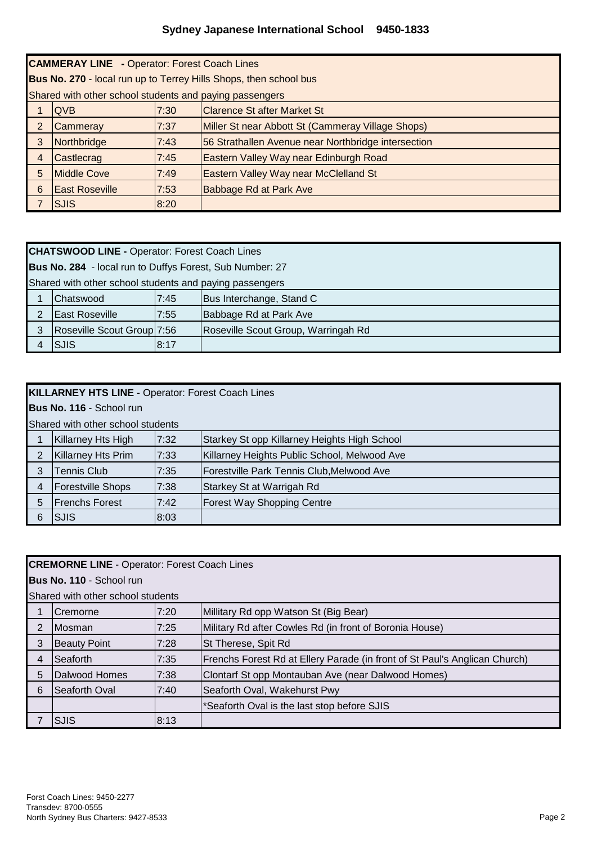|                | <b>CAMMERAY LINE</b> - Operator: Forest Coach Lines               |      |                                                     |  |  |
|----------------|-------------------------------------------------------------------|------|-----------------------------------------------------|--|--|
|                | Bus No. 270 - local run up to Terrey Hills Shops, then school bus |      |                                                     |  |  |
|                | Shared with other school students and paying passengers           |      |                                                     |  |  |
|                | <b>QVB</b>                                                        | 7:30 | <b>Clarence St after Market St</b>                  |  |  |
| $\overline{2}$ | Cammeray                                                          | 7:37 | Miller St near Abbott St (Cammeray Village Shops)   |  |  |
| 3              | Northbridge                                                       | 7:43 | 56 Strathallen Avenue near Northbridge intersection |  |  |
| 4              | Castlecrag                                                        | 7:45 | Eastern Valley Way near Edinburgh Road              |  |  |
| 5              | <b>Middle Cove</b>                                                | 7:49 | Eastern Valley Way near McClelland St               |  |  |
| 6              | <b>East Roseville</b>                                             | 7:53 | Babbage Rd at Park Ave                              |  |  |
|                | <b>SJIS</b>                                                       | 8:20 |                                                     |  |  |

|   | <b>CHATSWOOD LINE - Operator: Forest Coach Lines</b>     |      |                                     |  |  |
|---|----------------------------------------------------------|------|-------------------------------------|--|--|
|   | Bus No. 284 - local run to Duffys Forest, Sub Number: 27 |      |                                     |  |  |
|   | Shared with other school students and paying passengers  |      |                                     |  |  |
|   | Chatswood                                                | 7:45 | Bus Interchange, Stand C            |  |  |
| っ | <b>East Roseville</b>                                    | 7:55 | Babbage Rd at Park Ave              |  |  |
| 3 | Roseville Scout Group 7:56                               |      | Roseville Scout Group, Warringah Rd |  |  |
|   | <b>SJIS</b>                                              | 8:17 |                                     |  |  |

**Bus No. 116** - School run

Shared with other school students

|   | יטווטוסוס וסטווטט וטאט וואס וואס ווא |      |                                              |  |
|---|--------------------------------------|------|----------------------------------------------|--|
|   | Killarney Hts High                   | 7:32 | Starkey St opp Killarney Heights High School |  |
|   | <b>Killarney Hts Prim</b>            | 7:33 | Killarney Heights Public School, Melwood Ave |  |
| 3 | Tennis Club                          | 7:35 | Forestville Park Tennis Club, Melwood Ave    |  |
|   | <b>Forestville Shops</b>             | 7:38 | Starkey St at Warrigah Rd                    |  |
| 5 | <b>IFrenchs Forest</b>               | 7:42 | Forest Way Shopping Centre                   |  |
|   | <b>SJIS</b>                          | 8:03 |                                              |  |

|                | <b>CREMORNE LINE - Operator: Forest Coach Lines</b> |      |                                                                            |  |  |
|----------------|-----------------------------------------------------|------|----------------------------------------------------------------------------|--|--|
|                | Bus No. 110 - School run                            |      |                                                                            |  |  |
|                | Shared with other school students                   |      |                                                                            |  |  |
|                | Cremorne                                            | 7:20 | Millitary Rd opp Watson St (Big Bear)                                      |  |  |
| $\overline{2}$ | <b>IMosman</b>                                      | 7:25 | Military Rd after Cowles Rd (in front of Boronia House)                    |  |  |
| 3              | <b>Beauty Point</b>                                 | 7:28 | St Therese, Spit Rd                                                        |  |  |
| 4              | <b>I</b> Seaforth                                   | 7:35 | Frenchs Forest Rd at Ellery Parade (in front of St Paul's Anglican Church) |  |  |
| 5              | Dalwood Homes                                       | 7:38 | Clontarf St opp Montauban Ave (near Dalwood Homes)                         |  |  |
| 6              | Seaforth Oval                                       | 7:40 | Seaforth Oval, Wakehurst Pwy                                               |  |  |
|                |                                                     |      | *Seaforth Oval is the last stop before SJIS                                |  |  |
|                | <b>ISJIS</b>                                        | 8:13 |                                                                            |  |  |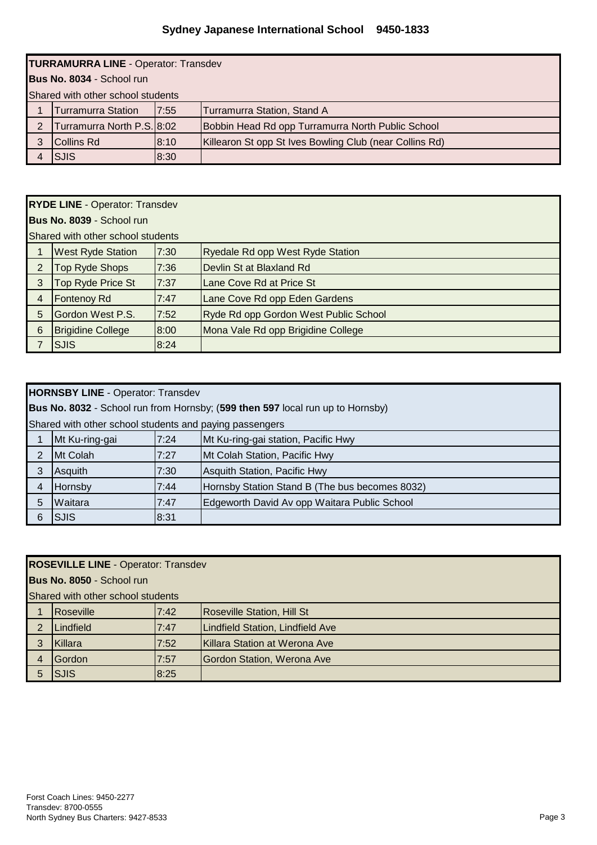|   | <b>TURRAMURRA LINE - Operator: Transdev</b> |      |                                                         |  |  |
|---|---------------------------------------------|------|---------------------------------------------------------|--|--|
|   | Bus No. 8034 - School run                   |      |                                                         |  |  |
|   | Shared with other school students           |      |                                                         |  |  |
|   | <b>Turramurra Station</b>                   | 7:55 | Turramurra Station, Stand A                             |  |  |
| 2 | Turramurra North P.S. 8:02                  |      | Bobbin Head Rd opp Turramurra North Public School       |  |  |
|   | Collins Rd                                  | 8:10 | Killearon St opp St Ives Bowling Club (near Collins Rd) |  |  |
|   | <b>SJIS</b>                                 | 8:30 |                                                         |  |  |

|   | <b>RYDE LINE - Operator: Transdev</b> |      |                                       |  |  |
|---|---------------------------------------|------|---------------------------------------|--|--|
|   | Bus No. 8039 - School run             |      |                                       |  |  |
|   | Shared with other school students     |      |                                       |  |  |
|   | <b>West Ryde Station</b>              | 7:30 | Ryedale Rd opp West Ryde Station      |  |  |
| 2 | Top Ryde Shops                        | 7:36 | Devlin St at Blaxland Rd              |  |  |
| 3 | Top Ryde Price St                     | 7:37 | Lane Cove Rd at Price St              |  |  |
| 4 | Fontenoy Rd                           | 7:47 | Lane Cove Rd opp Eden Gardens         |  |  |
| 5 | Gordon West P.S.                      | 7:52 | Ryde Rd opp Gordon West Public School |  |  |
| 6 | <b>Brigidine College</b>              | 8:00 | Mona Vale Rd opp Brigidine College    |  |  |
|   | <b>SJIS</b>                           | 8:24 |                                       |  |  |

|                | <b>HORNSBY LINE - Operator: Transdev</b>                |      |                                                                                |  |  |
|----------------|---------------------------------------------------------|------|--------------------------------------------------------------------------------|--|--|
|                |                                                         |      | Bus No. 8032 - School run from Hornsby; (599 then 597 local run up to Hornsby) |  |  |
|                | Shared with other school students and paying passengers |      |                                                                                |  |  |
|                | Mt Ku-ring-gai                                          | 7:24 | Mt Ku-ring-gai station, Pacific Hwy                                            |  |  |
| $\overline{2}$ | Mt Colah                                                | 7:27 | Mt Colah Station, Pacific Hwy                                                  |  |  |
| 3              | Asquith                                                 | 7:30 | Asquith Station, Pacific Hwy                                                   |  |  |
| $\overline{4}$ | Hornsby                                                 | 7:44 | Hornsby Station Stand B (The bus becomes 8032)                                 |  |  |
| 5              | Waitara                                                 | 7:47 | Edgeworth David Av opp Waitara Public School                                   |  |  |
| 6              | <b>SJIS</b>                                             | 8:31 |                                                                                |  |  |

**Bus No. 8050** - School run

|   | Shared with other school students |      |                                  |  |  |
|---|-----------------------------------|------|----------------------------------|--|--|
|   | <b>IRoseville</b>                 | 7:42 | Roseville Station, Hill St       |  |  |
|   | Lindfield                         | 7:47 | Lindfield Station, Lindfield Ave |  |  |
| 3 | Killara                           | 7:52 | Killara Station at Werona Ave    |  |  |
|   | Gordon                            | 7:57 | Gordon Station, Werona Ave       |  |  |
|   | <b>SJIS</b>                       | 8:25 |                                  |  |  |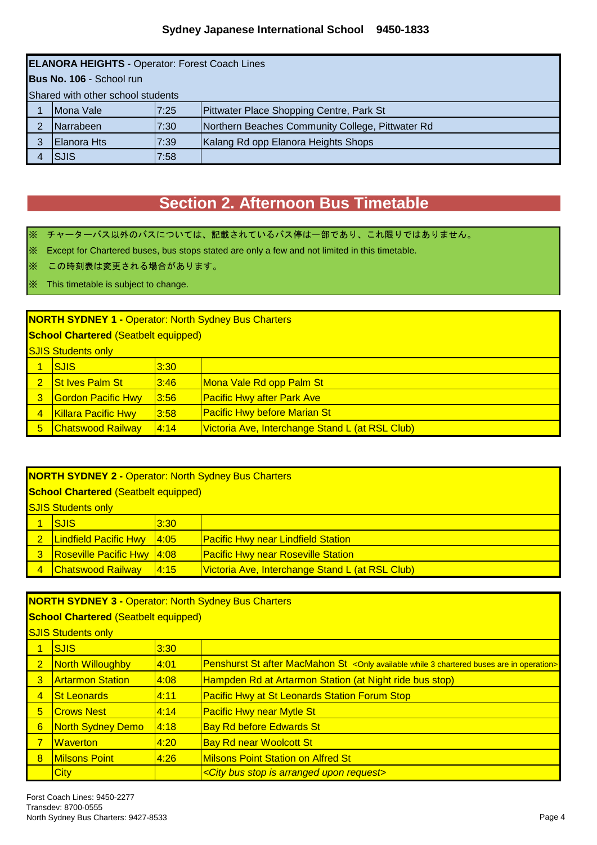|   | <b>ELANORA HEIGHTS - Operator: Forest Coach Lines</b> |      |                                                  |  |  |
|---|-------------------------------------------------------|------|--------------------------------------------------|--|--|
|   | Bus No. 106 - School run                              |      |                                                  |  |  |
|   | Shared with other school students                     |      |                                                  |  |  |
|   | Mona Vale                                             | 7:25 | Pittwater Place Shopping Centre, Park St         |  |  |
| っ | <b>Narrabeen</b>                                      | 7:30 | Northern Beaches Community College, Pittwater Rd |  |  |
| 3 | <b>Elanora Hts</b>                                    | 7:39 | Kalang Rd opp Elanora Heights Shops              |  |  |
|   | <b>SJIS</b>                                           | 7:58 |                                                  |  |  |

## **Section 2. Afternoon Bus Timetable**

※ チャーターバス以外のバスについては、記載されているバス停は一部であり、これ限りではありません。

※ Except for Chartered buses, bus stops stated are only a few and not limited in this timetable.

※ この時刻表は変更される場合があります。

#### ※ This timetable is subject to change.

#### **NORTH SYDNEY 1 -** Operator: North Sydney Bus Charters

**School Chartered** (Seatbelt equipped)

**SJIS Students only** 

|                | <u>INUS PINGELIIS ONIV</u> |       |                                                 |  |
|----------------|----------------------------|-------|-------------------------------------------------|--|
|                | <b>SJIS</b>                | 3:30  |                                                 |  |
|                | <b>St Ives Palm St</b>     | 3:46  | Mona Vale Rd opp Palm St                        |  |
|                | <b>Gordon Pacific Hwy</b>  | 3:56  | <b>Pacific Hwy after Park Ave</b>               |  |
| $\overline{4}$ | <b>Killara Pacific Hwy</b> | 3:58  | <b>Pacific Hwy before Marian St</b>             |  |
| 5              | <b>Chatswood Railway</b>   | 14:14 | Victoria Ave, Interchange Stand L (at RSL Club) |  |

#### **NORTH SYDNEY 2 -** Operator: North Sydney Bus Charters

#### **School Chartered** (Seatbelt equipped)

 $\overline{\mathbf{S}}$  IIS Students only

| <b>SJIS</b>                       | 3:30 |                                                 |  |
|-----------------------------------|------|-------------------------------------------------|--|
| <b>Lindfield Pacific Hwy</b> 4:05 |      | <b>IPacific Hwy near Lindfield Station</b>      |  |
| <b>Roseville Pacific Hwy 4:08</b> |      | <b>Pacific Hwy near Roseville Station</b>       |  |
| Chatswood Railway  4:15           |      | Victoria Ave, Interchange Stand L (at RSL Club) |  |

#### **NORTH SYDNEY 3 -** Operator: North Sydney Bus Charters

**School Chartered** (Seatbelt equipped)

## SJIS Students only

|                | <u>ooro otuucrito oriiy</u> |      |                                                                                                  |
|----------------|-----------------------------|------|--------------------------------------------------------------------------------------------------|
|                | <b>SJIS</b>                 | 3:30 |                                                                                                  |
| $\mathbf{2}$   | North Willoughby            | 4:01 | <b>Penshurst St after MacMahon St</b> < Only available while 3 chartered buses are in operation> |
| 3              | <b>Artarmon Station</b>     | 4:08 | Hampden Rd at Artarmon Station (at Night ride bus stop)                                          |
| $\overline{4}$ | <b>St Leonards</b>          | 4:11 | <b>Pacific Hwy at St Leonards Station Forum Stop</b>                                             |
| 5              | <b>Crows Nest</b>           | 4:14 | <b>Pacific Hwy near Mytle St</b>                                                                 |
| 6              | North Sydney Demo           | 4:18 | <b>Bay Rd before Edwards St</b>                                                                  |
|                | <b>IWaverton</b>            | 4:20 | <b>Bay Rd near Woolcott St</b>                                                                   |
| 8              | <b>Milsons Point</b>        | 4:26 | <b>Milsons Point Station on Alfred St</b>                                                        |
|                | <b>City</b>                 |      | <city arranged="" bus="" is="" request="" stop="" upon=""></city>                                |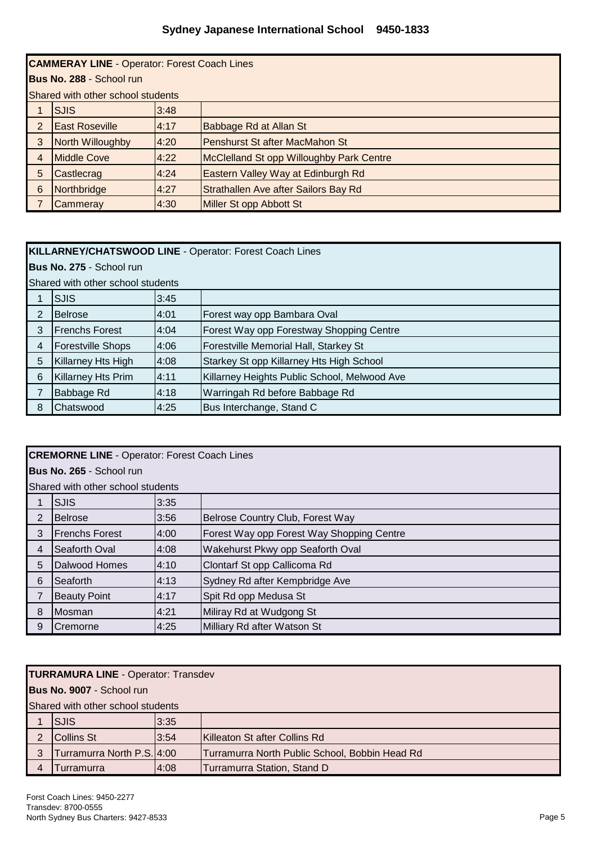## **Sydney Japanese International School 9450-1833**

|                | <b>CAMMERAY LINE - Operator: Forest Coach Lines</b> |      |                                                 |  |
|----------------|-----------------------------------------------------|------|-------------------------------------------------|--|
|                | Bus No. 288 - School run                            |      |                                                 |  |
|                | Shared with other school students                   |      |                                                 |  |
|                | <b>SJIS</b>                                         | 3:48 |                                                 |  |
| 2              | <b>East Roseville</b>                               | 4:17 | Babbage Rd at Allan St                          |  |
| 3              | North Willoughby                                    | 4:20 | Penshurst St after MacMahon St                  |  |
| $\overline{4}$ | <b>Middle Cove</b>                                  | 4:22 | <b>McClelland St opp Willoughby Park Centre</b> |  |
| 5              | Castlecrag                                          | 4:24 | Eastern Valley Way at Edinburgh Rd              |  |
| 6              | Northbridge                                         | 4:27 | Strathallen Ave after Sailors Bay Rd            |  |
|                | Cammeray                                            | 4:30 | Miller St opp Abbott St                         |  |

### **KILLARNEY/CHATSWOOD LINE** - Operator: Forest Coach Lines

**Bus No. 275** - School run

|  | Shared with other school students |      |                               |  |  |  |
|--|-----------------------------------|------|-------------------------------|--|--|--|
|  | <b>ISJIS</b>                      | 3:45 |                               |  |  |  |
|  | <b>I</b> Belrose                  | 4:01 | Forest way opp Bambara Oval   |  |  |  |
|  | <b>Frenchs Forest</b>             | 4:04 | Forest Way opp Forestway Shop |  |  |  |
|  |                                   |      |                               |  |  |  |

|   | <b>Frenchs Forest</b>     | 4:04  | Forest Way opp Forestway Shopping Centre     |  |
|---|---------------------------|-------|----------------------------------------------|--|
|   | <b>Forestville Shops</b>  | 14:06 | Forestville Memorial Hall, Starkey St        |  |
| 5 | Killarney Hts High        | 14:08 | Starkey St opp Killarney Hts High School     |  |
| 6 | <b>Killarney Hts Prim</b> | 14:11 | Killarney Heights Public School, Melwood Ave |  |
|   | Babbage Rd                | 4:18  | Warringah Rd before Babbage Rd               |  |
|   | Chatswood                 | 14:25 | Bus Interchange, Stand C                     |  |

|                | <b>CREMORNE LINE - Operator: Forest Coach Lines</b> |      |                                           |  |  |
|----------------|-----------------------------------------------------|------|-------------------------------------------|--|--|
|                | Bus No. 265 - School run                            |      |                                           |  |  |
|                | Shared with other school students                   |      |                                           |  |  |
|                | <b>SJIS</b>                                         | 3:35 |                                           |  |  |
| $\overline{2}$ | <b>Belrose</b>                                      | 3:56 | Belrose Country Club, Forest Way          |  |  |
| 3              | <b>Frenchs Forest</b>                               | 4:00 | Forest Way opp Forest Way Shopping Centre |  |  |
| $\overline{4}$ | Seaforth Oval                                       | 4:08 | Wakehurst Pkwy opp Seaforth Oval          |  |  |
| 5              | Dalwood Homes                                       | 4:10 | Clontarf St opp Callicoma Rd              |  |  |
| 6              | Seaforth                                            | 4:13 | Sydney Rd after Kempbridge Ave            |  |  |
|                | <b>Beauty Point</b>                                 | 4:17 | Spit Rd opp Medusa St                     |  |  |
| 8              | <b>Mosman</b>                                       | 4:21 | Miliray Rd at Wudgong St                  |  |  |
| 9              | <b>ICremorne</b>                                    | 4:25 | Milliary Rd after Watson St               |  |  |

### **TURRAMURA LINE** - Operator: Transdev

**Bus No. 9007** - School run

Shared with other school students

| <b>SJIS</b>                | 3:35 |                                                |
|----------------------------|------|------------------------------------------------|
| Collins St                 | 3:54 | Killeaton St after Collins Rd                  |
| Turramurra North P.S. 4:00 |      | Turramurra North Public School, Bobbin Head Rd |
| Turramurra                 | 4:08 | Turramurra Station, Stand D                    |